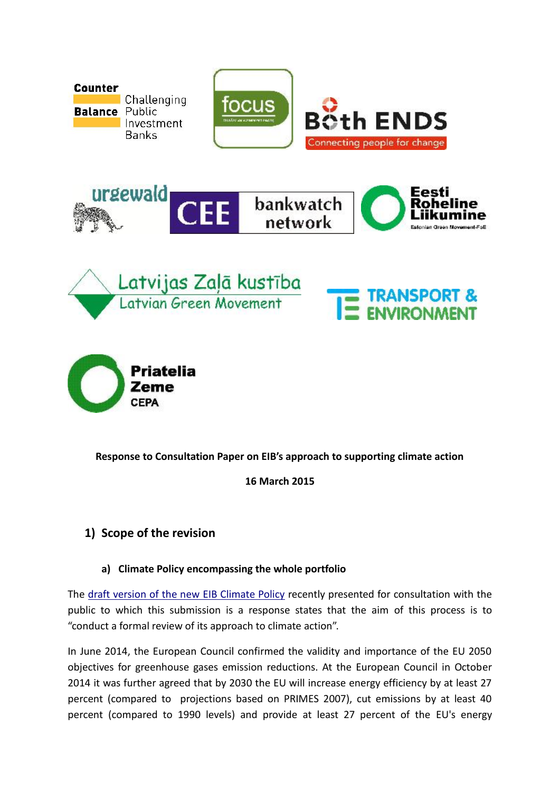

#### **Response to Consultation Paper on EIB's approach to supporting climate action**

**16 March 2015**

#### **1) Scope of the revision**

#### **a) Climate Policy encompassing the whole portfolio**

The draft version of the new EIB Climate Policy recently presented for consultation with the public to which this submission is a response states that the aim of this process is to "conduct a formal review of its approach to climate action".

In June 2014, the European Council confirmed the validity and importance of the EU 2050 objectives for greenhouse gases emission reductions. At the European Council in October 2014 it was further agreed that by 2030 the EU will increase energy efficiency by at least 27 percent (compared to projections based on PRIMES 2007), cut emissions by at least 40 percent (compared to 1990 levels) and provide at least 27 percent of the EU's energy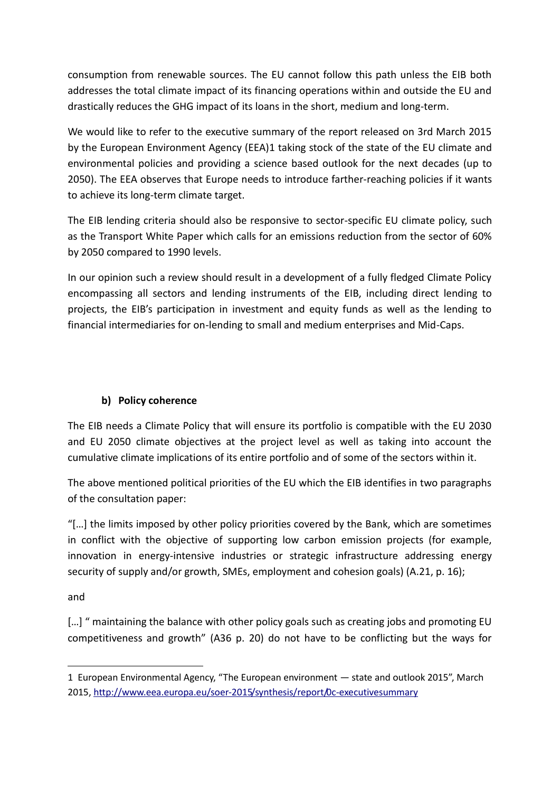consumption from renewable sources. The EU cannot follow this path unless the EIB both addresses the total climate impact of its financing operations within and outside the EU and drastically reduces the GHG impact of its loans in the short, medium and long-term.

We would like to refer to the executive summary of the report released on 3rd March 2015 by the European Environment Agency (EEA)1 taking stock of the state of the EU climate and environmental policies and providing a science based outlook for the next decades (up to 2050). The EEA observes that Europe needs to introduce farther-reaching policies if it wants to achieve its long-term climate target.

The EIB lending criteria should also be responsive to sector-specific EU climate policy, such as the Transport White Paper which calls for an emissions reduction from the sector of 60% by 2050 compared to 1990 levels.

In our opinion such a review should result in a development of a fully fledged Climate Policy encompassing all sectors and lending instruments of the EIB, including direct lending to projects, the EIB's participation in investment and equity funds as well as the lending to financial intermediaries for on-lending to small and medium enterprises and Mid-Caps.

#### **b) Policy coherence**

The EIB needs a Climate Policy that will ensure its portfolio is compatible with the EU 2030 and EU 2050 climate objectives at the project level as well as taking into account the cumulative climate implications of its entire portfolio and of some of the sectors within it.

The above mentioned political priorities of the EU which the EIB identifies in two paragraphs of the consultation paper:

"[…] the limits imposed by other policy priorities covered by the Bank, which are sometimes in conflict with the objective of supporting low carbon emission projects (for example, innovation in energy-intensive industries or strategic infrastructure addressing energy security of supply and/or growth, SMEs, employment and cohesion goals) (A.21, p. 16);

and

[...] " maintaining the balance with other policy goals such as creating jobs and promoting EU competitiveness and growth" (A36 p. 20) do not have to be conflicting but the ways for

<sup>1</sup> European Environmental Agency, "The European environment — state and outlook 2015", March 2015, http://www.eea.europa.eu/soer-2015/synthesis/report/0c-executivesummary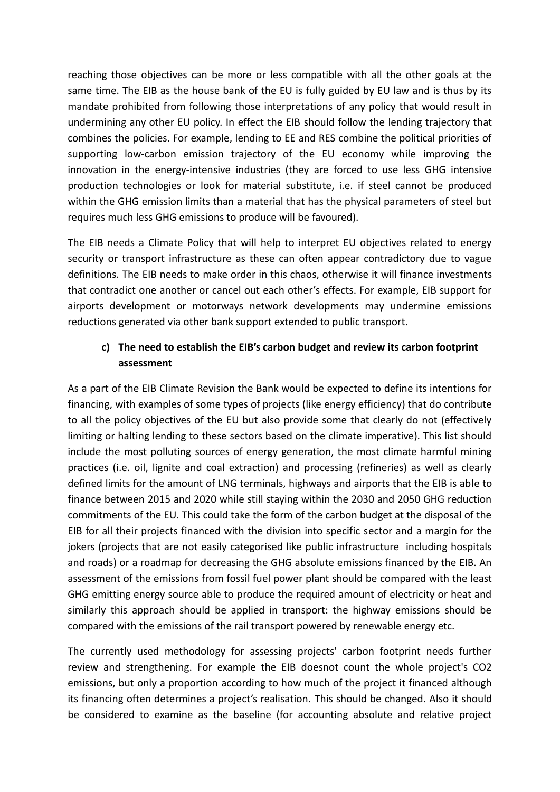reaching those objectives can be more or less compatible with all the other goals at the same time. The EIB as the house bank of the EU is fully guided by EU law and is thus by its mandate prohibited from following those interpretations of any policy that would result in undermining any other EU policy. In effect the EIB should follow the lending trajectory that combines the policies. For example, lending to EE and RES combine the political priorities of supporting low-carbon emission trajectory of the EU economy while improving the innovation in the energy-intensive industries (they are forced to use less GHG intensive production technologies or look for material substitute, i.e. if steel cannot be produced within the GHG emission limits than a material that has the physical parameters of steel but requires much less GHG emissions to produce will be favoured).

The EIB needs a Climate Policy that will help to interpret EU objectives related to energy security or transport infrastructure as these can often appear contradictory due to vague definitions. The EIB needs to make order in this chaos, otherwise it will finance investments that contradict one another or cancel out each other's effects. For example, EIB support for airports development or motorways network developments may undermine emissions reductions generated via other bank support extended to public transport.

## **c) The need to establish the EIB's carbon budget and review its carbon footprint assessment**

As a part of the EIB Climate Revision the Bank would be expected to define its intentions for financing, with examples of some types of projects (like energy efficiency) that do contribute to all the policy objectives of the EU but also provide some that clearly do not (effectively limiting or halting lending to these sectors based on the climate imperative). This list should include the most polluting sources of energy generation, the most climate harmful mining practices (i.e. oil, lignite and coal extraction) and processing (refineries) as well as clearly defined limits for the amount of LNG terminals, highways and airports that the EIB is able to finance between 2015 and 2020 while still staying within the 2030 and 2050 GHG reduction commitments of the EU. This could take the form of the carbon budget at the disposal of the EIB for all their projects financed with the division into specific sector and a margin for the jokers (projects that are not easily categorised like public infrastructure including hospitals and roads) or a roadmap for decreasing the GHG absolute emissions financed by the EIB. An assessment of the emissions from fossil fuel power plant should be compared with the least GHG emitting energy source able to produce the required amount of electricity or heat and similarly this approach should be applied in transport: the highway emissions should be compared with the emissions of the rail transport powered by renewable energy etc.

The currently used methodology for assessing projects' carbon footprint needs further review and strengthening. For example the EIB doesnot count the whole project's CO2 emissions, but only a proportion according to how much of the project it financed although its financing often determines a project's realisation. This should be changed. Also it should be considered to examine as the baseline (for accounting absolute and relative project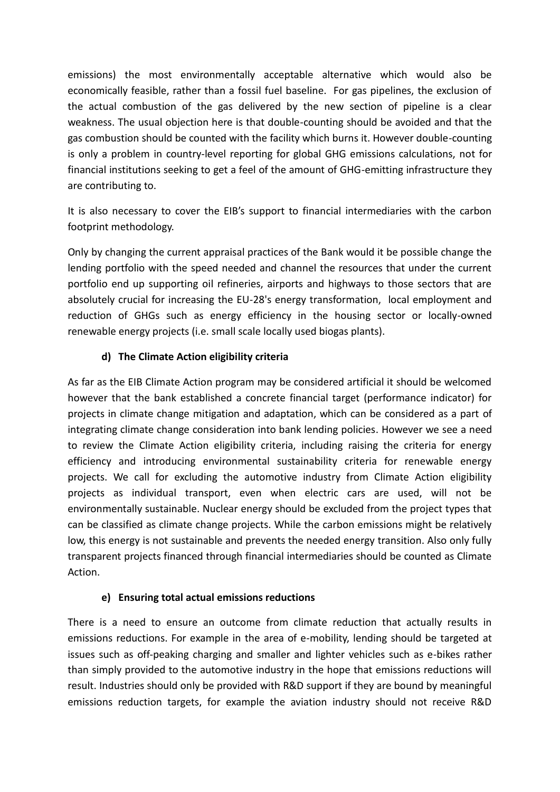emissions) the most environmentally acceptable alternative which would also be economically feasible, rather than a fossil fuel baseline. For gas pipelines, the exclusion of the actual combustion of the gas delivered by the new section of pipeline is a clear weakness. The usual objection here is that double-counting should be avoided and that the gas combustion should be counted with the facility which burns it. However double-counting is only a problem in country-level reporting for global GHG emissions calculations, not for financial institutions seeking to get a feel of the amount of GHG-emitting infrastructure they are contributing to.

It is also necessary to cover the EIB's support to financial intermediaries with the carbon footprint methodology.

Only by changing the current appraisal practices of the Bank would it be possible change the lending portfolio with the speed needed and channel the resources that under the current portfolio end up supporting oil refineries, airports and highways to those sectors that are absolutely crucial for increasing the EU-28's energy transformation, local employment and reduction of GHGs such as energy efficiency in the housing sector or locally-owned renewable energy projects (i.e. small scale locally used biogas plants).

#### **d) The Climate Action eligibility criteria**

As far as the EIB Climate Action program may be considered artificial it should be welcomed however that the bank established a concrete financial target (performance indicator) for projects in climate change mitigation and adaptation, which can be considered as a part of integrating climate change consideration into bank lending policies. However we see a need to review the Climate Action eligibility criteria, including raising the criteria for energy efficiency and introducing environmental sustainability criteria for renewable energy projects. We call for excluding the automotive industry from Climate Action eligibility projects as individual transport, even when electric cars are used, will not be environmentally sustainable. Nuclear energy should be excluded from the project types that can be classified as climate change projects. While the carbon emissions might be relatively low, this energy is not sustainable and prevents the needed energy transition. Also only fully transparent projects financed through financial intermediaries should be counted as Climate Action.

#### **e) Ensuring total actual emissions reductions**

There is a need to ensure an outcome from climate reduction that actually results in emissions reductions. For example in the area of e-mobility, lending should be targeted at issues such as off-peaking charging and smaller and lighter vehicles such as e-bikes rather than simply provided to the automotive industry in the hope that emissions reductions will result. Industries should only be provided with R&D support if they are bound by meaningful emissions reduction targets, for example the aviation industry should not receive R&D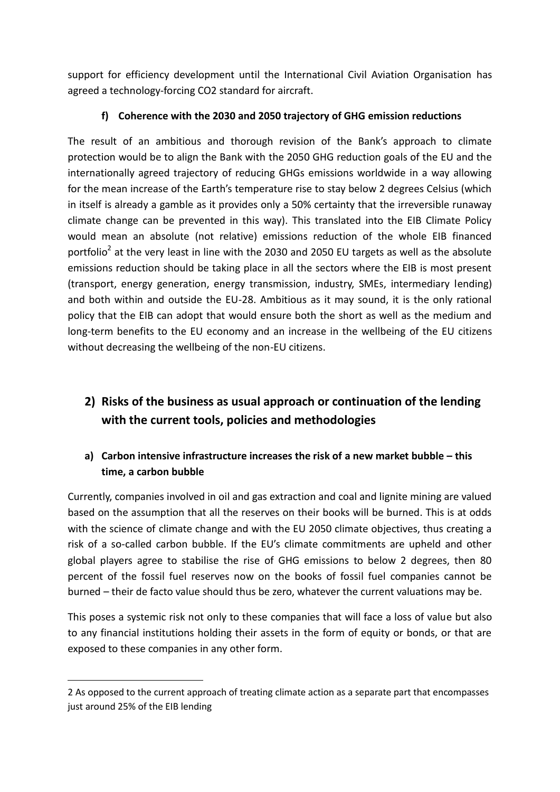support for efficiency development until the International Civil Aviation Organisation has agreed a technology-forcing CO2 standard for aircraft.

#### **f) Coherence with the 2030 and 2050 trajectory of GHG emission reductions**

The result of an ambitious and thorough revision of the Bank's approach to climate protection would be to align the Bank with the 2050 GHG reduction goals of the EU and the internationally agreed trajectory of reducing GHGs emissions worldwide in a way allowing for the mean increase of the Earth's temperature rise to stay below 2 degrees Celsius (which in itself is already a gamble as it provides only a 50% certainty that the irreversible runaway climate change can be prevented in this way). This translated into the EIB Climate Policy would mean an absolute (not relative) emissions reduction of the whole EIB financed portfolio<sup>2</sup> at the very least in line with the 2030 and 2050 EU targets as well as the absolute emissions reduction should be taking place in all the sectors where the EIB is most present (transport, energy generation, energy transmission, industry, SMEs, intermediary lending) and both within and outside the EU-28. Ambitious as it may sound, it is the only rational policy that the EIB can adopt that would ensure both the short as well as the medium and long-term benefits to the EU economy and an increase in the wellbeing of the EU citizens without decreasing the wellbeing of the non-EU citizens.

## **2) Risks of the business as usual approach or continuation of the lending with the current tools, policies and methodologies**

## **a) Carbon intensive infrastructure increases the risk of a new market bubble – this time, a carbon bubble**

Currently, companies involved in oil and gas extraction and coal and lignite mining are valued based on the assumption that all the reserves on their books will be burned. This is at odds with the science of climate change and with the EU 2050 climate objectives, thus creating a risk of a so-called carbon bubble. If the EU's climate commitments are upheld and other global players agree to stabilise the rise of GHG emissions to below 2 degrees, then 80 percent of the fossil fuel reserves now on the books of fossil fuel companies cannot be burned – their de facto value should thus be zero, whatever the current valuations may be.

This poses a systemic risk not only to these companies that will face a loss of value but also to any financial institutions holding their assets in the form of equity or bonds, or that are exposed to these companies in any other form.

<sup>2</sup> As opposed to the current approach of treating climate action as a separate part that encompasses just around 25% of the EIB lending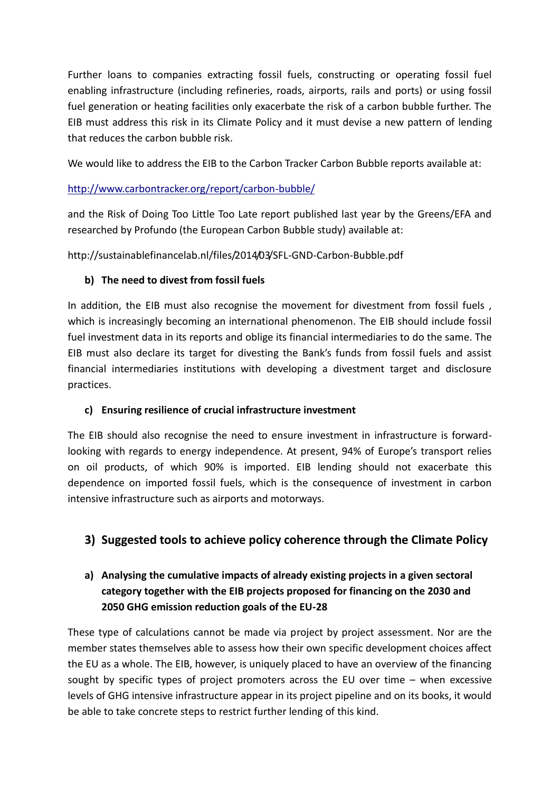Further loans to companies extracting fossil fuels, constructing or operating fossil fuel enabling infrastructure (including refineries, roads, airports, rails and ports) or using fossil fuel generation or heating facilities only exacerbate the risk of a carbon bubble further. The EIB must address this risk in its Climate Policy and it must devise a new pattern of lending that reduces the carbon bubble risk.

We would like to address the EIB to the Carbon Tracker Carbon Bubble reports available at:

#### http://www.carbontracker.org/report/carbon-bubble/

and the Risk of Doing Too Little Too Late report published last year by the Greens/EFA and researched by Profundo (the European Carbon Bubble study) available at:

http://sustainablefinancelab.nl/files/2014/03/SFL-GND-Carbon-Bubble.pdf

#### **b) The need to divest from fossil fuels**

In addition, the EIB must also recognise the movement for divestment from fossil fuels, which is increasingly becoming an international phenomenon. The EIB should include fossil fuel investment data in its reports and oblige its financial intermediaries to do the same. The EIB must also declare its target for divesting the Bank's funds from fossil fuels and assist financial intermediaries institutions with developing a divestment target and disclosure practices.

#### **c) Ensuring resilience of crucial infrastructure investment**

The EIB should also recognise the need to ensure investment in infrastructure is forwardlooking with regards to energy independence. At present, 94% of Europe's transport relies on oil products, of which 90% is imported. EIB lending should not exacerbate this dependence on imported fossil fuels, which is the consequence of investment in carbon intensive infrastructure such as airports and motorways.

## **3) Suggested tools to achieve policy coherence through the Climate Policy**

## **a) Analysing the cumulative impacts of already existing projects in a given sectoral category together with the EIB projects proposed for financing on the 2030 and 2050 GHG emission reduction goals of the EU-28**

These type of calculations cannot be made via project by project assessment. Nor are the member states themselves able to assess how their own specific development choices affect the EU as a whole. The EIB, however, is uniquely placed to have an overview of the financing sought by specific types of project promoters across the EU over time – when excessive levels of GHG intensive infrastructure appear in its project pipeline and on its books, it would be able to take concrete steps to restrict further lending of this kind.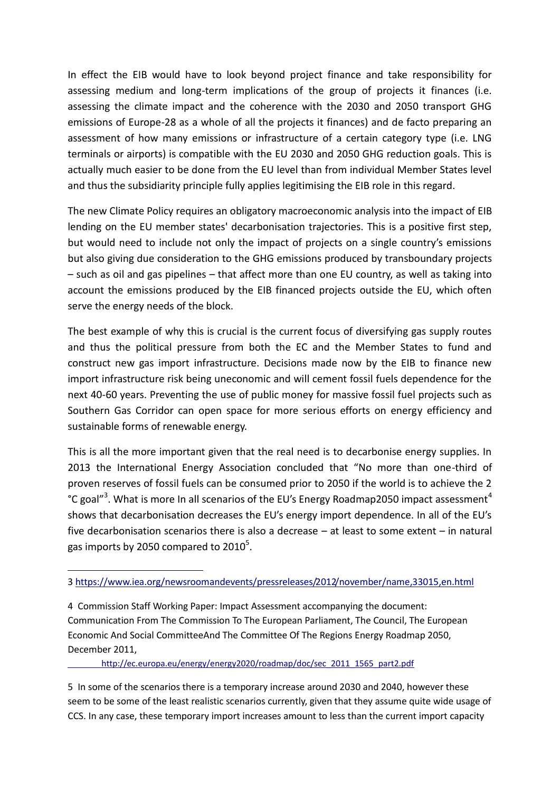In effect the EIB would have to look beyond project finance and take responsibility for assessing medium and long-term implications of the group of projects it finances (i.e. assessing the climate impact and the coherence with the 2030 and 2050 transport GHG emissions of Europe-28 as a whole of all the projects it finances) and de facto preparing an assessment of how many emissions or infrastructure of a certain category type (i.e. LNG terminals or airports) is compatible with the EU 2030 and 2050 GHG reduction goals. This is actually much easier to be done from the EU level than from individual Member States level and thus the subsidiarity principle fully applies legitimising the EIB role in this regard.

The new Climate Policy requires an obligatory macroeconomic analysis into the impact of EIB lending on the EU member states' decarbonisation trajectories. This is a positive first step, but would need to include not only the impact of projects on a single country's emissions but also giving due consideration to the GHG emissions produced by transboundary projects – such as oil and gas pipelines – that affect more than one EU country, as well as taking into account the emissions produced by the EIB financed projects outside the EU, which often serve the energy needs of the block.

The best example of why this is crucial is the current focus of diversifying gas supply routes and thus the political pressure from both the EC and the Member States to fund and construct new gas import infrastructure. Decisions made now by the EIB to finance new import infrastructure risk being uneconomic and will cement fossil fuels dependence for the next 40-60 years. Preventing the use of public money for massive fossil fuel projects such as Southern Gas Corridor can open space for more serious efforts on energy efficiency and sustainable forms of renewable energy.

This is all the more important given that the real need is to decarbonise energy supplies. In 2013 the International Energy Association concluded that "No more than one-third of proven reserves of fossil fuels can be consumed prior to 2050 if the world is to achieve the 2 °C goal"<sup>3</sup>. What is more In all scenarios of the EU's Energy Roadmap2050 impact assessment<sup>4</sup> shows that decarbonisation decreases the EU's energy import dependence. In all of the EU's five decarbonisation scenarios there is also a decrease – at least to some extent – in natural gas imports by 2050 compared to 2010 $^5$ .

http://ec.europa.eu/energy/energy2020/roadmap/doc/sec\_2011\_1565\_part2.pdf

5 In some of the scenarios there is a temporary increase around 2030 and 2040, however these seem to be some of the least realistic scenarios currently, given that they assume quite wide usage of CCS. In any case, these temporary import increases amount to less than the current import capacity

<sup>3</sup> https://www.iea.org/newsroomandevents/pressreleases/2012/november/name,33015,en.html

<sup>4</sup> Commission Staff Working Paper: Impact Assessment accompanying the document: Communication From The Commission To The European Parliament, The Council, The European Economic And Social CommitteeAnd The Committee Of The Regions Energy Roadmap 2050, December 2011,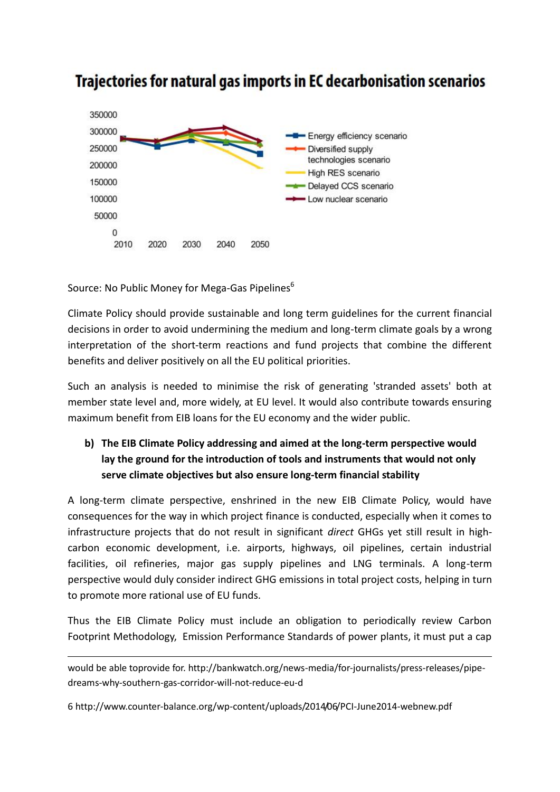

# Trajectories for natural gas imports in EC decarbonisation scenarios

Source: No Public Money for Mega-Gas Pipelines<sup>6</sup>

Climate Policy should provide sustainable and long term guidelines for the current financial decisions in order to avoid undermining the medium and long-term climate goals by a wrong interpretation of the short-term reactions and fund projects that combine the different benefits and deliver positively on all the EU political priorities.

Such an analysis is needed to minimise the risk of generating 'stranded assets' both at member state level and, more widely, at EU level. It would also contribute towards ensuring maximum benefit from EIB loans for the EU economy and the wider public.

## **b) The EIB Climate Policy addressing and aimed at the long-term perspective would lay the ground for the introduction of tools and instruments that would not only serve climate objectives but also ensure long-term financial stability**

A long-term climate perspective, enshrined in the new EIB Climate Policy, would have consequences for the way in which project finance is conducted, especially when it comes to infrastructure projects that do not result in significant *direct* GHGs yet still result in high carbon economic development, i.e. airports, highways, oil pipelines, certain industrial facilities, oil refineries, major gas supply pipelines and LNG terminals. A long-term perspective would duly consider indirect GHG emissions in total project costs, helping in turn to promote more rational use of EU funds.

Thus the EIB Climate Policy must include an obligation to periodically review Carbon Footprint Methodology, Emission Performance Standards of power plants, it must put a cap

would be able toprovide for. http://bankwatch.org/news-media/for-journalists/press-releases/pipe dreams-why-southern-gas-corridor-will-not-reduce-eu-d

6 http://www.counter-balance.org/wp-content/uploads/2014/06/PCI-June2014-webnew.pdf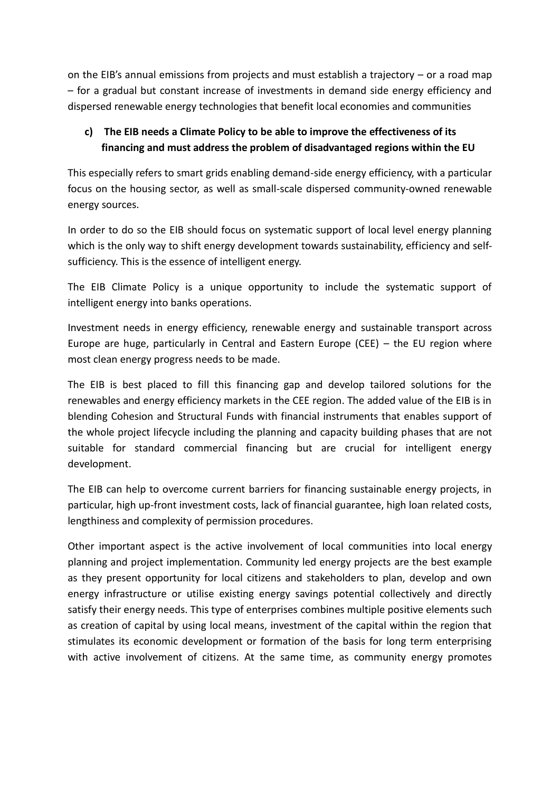on the EIB's annual emissions from projects and must establish a trajectory – or a road map – for a gradual but constant increase of investments in demand side energy efficiency and dispersed renewable energy technologies that benefit local economies and communities

## **c) The EIB needs a Climate Policy to be able to improve the effectiveness of its financing and must address the problem of disadvantaged regions within the EU**

This especially refers to smart grids enabling demand-side energy efficiency, with a particular focus on the housing sector, as well as small-scale dispersed community-owned renewable energy sources.

In order to do so the EIB should focus on systematic support of local level energy planning which is the only way to shift energy development towards sustainability, efficiency and selfsufficiency. This is the essence of intelligent energy.

The EIB Climate Policy is a unique opportunity to include the systematic support of intelligent energy into banks operations.

Investment needs in energy efficiency, renewable energy and sustainable transport across Europe are huge, particularly in Central and Eastern Europe (CEE) – the EU region where most clean energy progress needs to be made.

The EIB is best placed to fill this financing gap and develop tailored solutions for the renewables and energy efficiency markets in the CEE region. The added value of the EIB is in blending Cohesion and Structural Funds with financial instruments that enables support of the whole project lifecycle including the planning and capacity building phases that are not suitable for standard commercial financing but are crucial for intelligent energy development.

The EIB can help to overcome current barriers for financing sustainable energy projects, in particular, high up-front investment costs, lack of financial guarantee, high loan related costs, lengthiness and complexity of permission procedures.

Other important aspect is the active involvement of local communities into local energy planning and project implementation. Community led energy projects are the best example as they present opportunity for local citizens and stakeholders to plan, develop and own energy infrastructure or utilise existing energy savings potential collectively and directly satisfy their energy needs. This type of enterprises combines multiple positive elements such as creation of capital by using local means, investment of the capital within the region that stimulates its economic development or formation of the basis for long term enterprising with active involvement of citizens. At the same time, as community energy promotes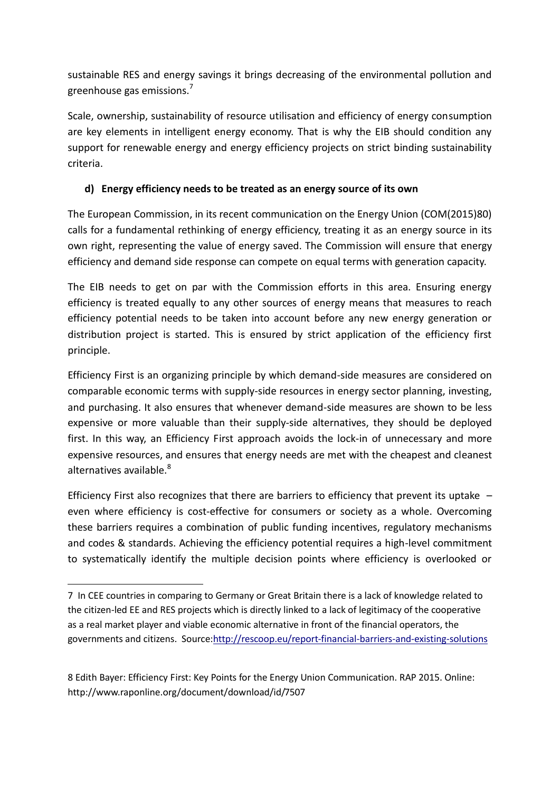sustainable RES and energy savings it brings decreasing of the environmental pollution and greenhouse gas emissions.<sup>7</sup>

Scale, ownership, sustainability of resource utilisation and efficiency of energy consumption are key elements in intelligent energy economy. That is why the EIB should condition any support for renewable energy and energy efficiency projects on strict binding sustainability criteria.

#### **d) Energy efficiency needs to be treated as an energy source of its own**

The European Commission, in its recent communication on the Energy Union (COM(2015)80) calls for a fundamental rethinking of energy efficiency, treating it as an energy source in its own right, representing the value of energy saved. The Commission will ensure that energy efficiency and demand side response can compete on equal terms with generation capacity.

The EIB needs to get on par with the Commission efforts in this area. Ensuring energy efficiency is treated equally to any other sources of energy means that measures to reach efficiency potential needs to be taken into account before any new energy generation or distribution project is started. This is ensured by strict application of the efficiency first principle.

Efficiency First is an organizing principle by which demand-side measures are considered on comparable economic terms with supply-side resources in energy sector planning, investing, and purchasing. It also ensures that whenever demand-side measures are shown to be less expensive or more valuable than their supply-side alternatives, they should be deployed first. In this way, an Efficiency First approach avoids the lock-in of unnecessary and more expensive resources, and ensures that energy needs are met with the cheapest and cleanest alternatives available  $8$ 

Efficiency First also recognizes that there are barriers to efficiency that prevent its uptake – even where efficiency is cost-effective for consumers or society as a whole. Overcoming these barriers requires a combination of public funding incentives, regulatory mechanisms and codes & standards. Achieving the efficiency potential requires a high-level commitment to systematically identify the multiple decision points where efficiency is overlooked or

8 Edith Bayer: Efficiency First: Key Points for the Energy Union Communication. RAP 2015. Online: http://www.raponline.org/document/download/id/7507

<sup>7</sup> In CEE countries in comparing to Germany or Great Britain there is a lack of knowledge related to the citizen-led EE and RES projects which is directly linked to a lack of legitimacy of the cooperative as a real market player and viable economic alternative in front of the financial operators, the governments and citizens. Source:http://rescoop.eu/report-financial-barriers-and-existing-solutions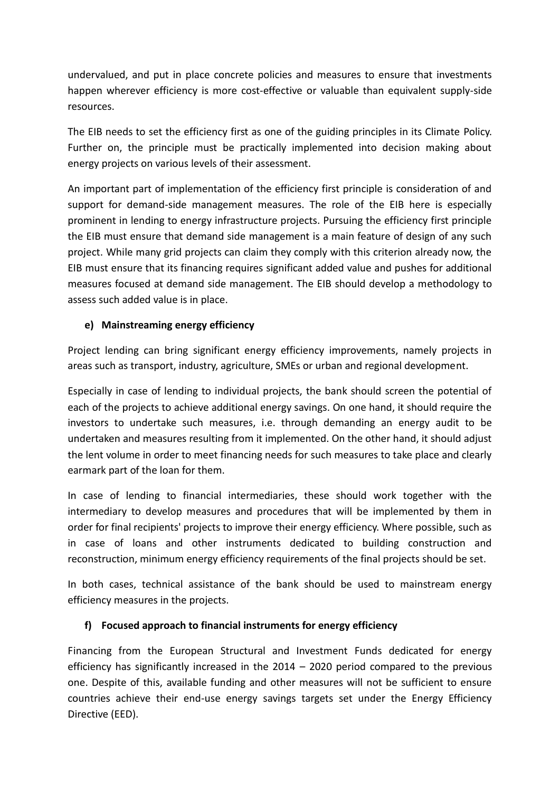undervalued, and put in place concrete policies and measures to ensure that investments happen wherever efficiency is more cost-effective or valuable than equivalent supply-side resources.

The EIB needs to set the efficiency first as one of the guiding principles in its Climate Policy. Further on, the principle must be practically implemented into decision making about energy projects on various levels of their assessment.

An important part of implementation of the efficiency first principle is consideration of and support for demand-side management measures. The role of the EIB here is especially prominent in lending to energy infrastructure projects. Pursuing the efficiency first principle the EIB must ensure that demand side management is a main feature of design of any such project. While many grid projects can claim they comply with this criterion already now, the EIB must ensure that its financing requires significant added value and pushes for additional measures focused at demand side management. The EIB should develop a methodology to assess such added value is in place.

#### **e) Mainstreaming energy efficiency**

Project lending can bring significant energy efficiency improvements, namely projects in areas such as transport, industry, agriculture, SMEs or urban and regional development.

Especially in case of lending to individual projects, the bank should screen the potential of each of the projects to achieve additional energy savings. On one hand, it should require the investors to undertake such measures, i.e. through demanding an energy audit to be undertaken and measures resulting from it implemented. On the other hand, it should adjust the lent volume in order to meet financing needs for such measures to take place and clearly earmark part of the loan for them.

In case of lending to financial intermediaries, these should work together with the intermediary to develop measures and procedures that will be implemented by them in order for final recipients' projects to improve their energy efficiency. Where possible, such as in case of loans and other instruments dedicated to building construction and reconstruction, minimum energy efficiency requirements of the final projects should be set.

In both cases, technical assistance of the bank should be used to mainstream energy efficiency measures in the projects.

#### **f) Focused approach to financial instruments for energy efficiency**

Financing from the European Structural and Investment Funds dedicated for energy efficiency has significantly increased in the 2014 – 2020 period compared to the previous one. Despite of this, available funding and other measures will not be sufficient to ensure countries achieve their end-use energy savings targets set under the Energy Efficiency Directive (EED).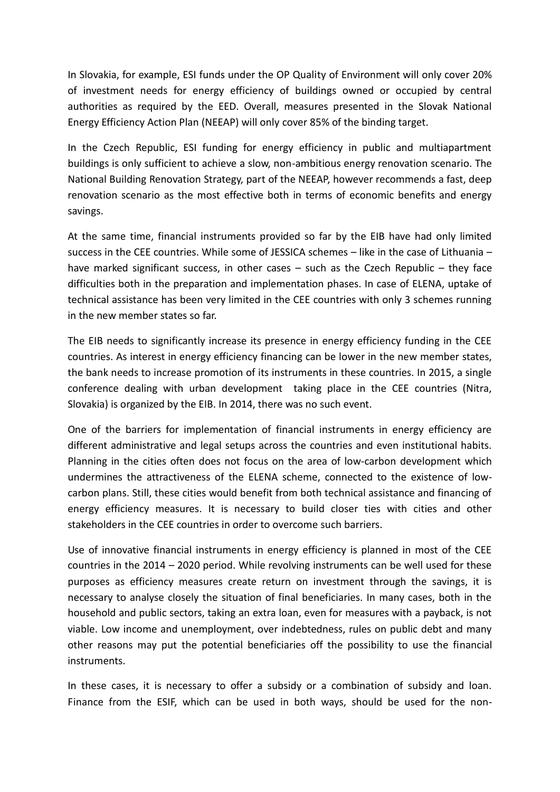In Slovakia, for example, ESI funds under the OP Quality of Environment will only cover 20% of investment needs for energy efficiency of buildings owned or occupied by central authorities as required by the EED. Overall, measures presented in the Slovak National Energy Efficiency Action Plan (NEEAP) will only cover 85% of the binding target.

In the Czech Republic, ESI funding for energy efficiency in public and multiapartment buildings is only sufficient to achieve a slow, non-ambitious energy renovation scenario. The National Building Renovation Strategy, part of the NEEAP, however recommends a fast, deep renovation scenario as the most effective both in terms of economic benefits and energy savings.

At the same time, financial instruments provided so far by the EIB have had only limited success in the CEE countries. While some of JESSICA schemes – like in the case of Lithuania – have marked significant success, in other cases – such as the Czech Republic – they face difficulties both in the preparation and implementation phases. In case of ELENA, uptake of technical assistance has been very limited in the CEE countries with only 3 schemes running in the new member states so far.

The EIB needs to significantly increase its presence in energy efficiency funding in the CEE countries. As interest in energy efficiency financing can be lower in the new member states, the bank needs to increase promotion of its instruments in these countries. In 2015, a single conference dealing with urban development taking place in the CEE countries (Nitra, Slovakia) is organized by the EIB. In 2014, there was no such event.

One of the barriers for implementation of financial instruments in energy efficiency are different administrative and legal setups across the countries and even institutional habits. Planning in the cities often does not focus on the area of low-carbon development which undermines the attractiveness of the ELENA scheme, connected to the existence of low carbon plans. Still, these cities would benefit from both technical assistance and financing of energy efficiency measures. It is necessary to build closer ties with cities and other stakeholders in the CEE countries in order to overcome such barriers.

Use of innovative financial instruments in energy efficiency is planned in most of the CEE countries in the 2014 – 2020 period. While revolving instruments can be well used for these purposes as efficiency measures create return on investment through the savings, it is necessary to analyse closely the situation of final beneficiaries. In many cases, both in the household and public sectors, taking an extra loan, even for measures with a payback, is not viable. Low income and unemployment, over indebtedness, rules on public debt and many other reasons may put the potential beneficiaries off the possibility to use the financial instruments.

In these cases, it is necessary to offer a subsidy or a combination of subsidy and loan. Finance from the ESIF, which can be used in both ways, should be used for the non